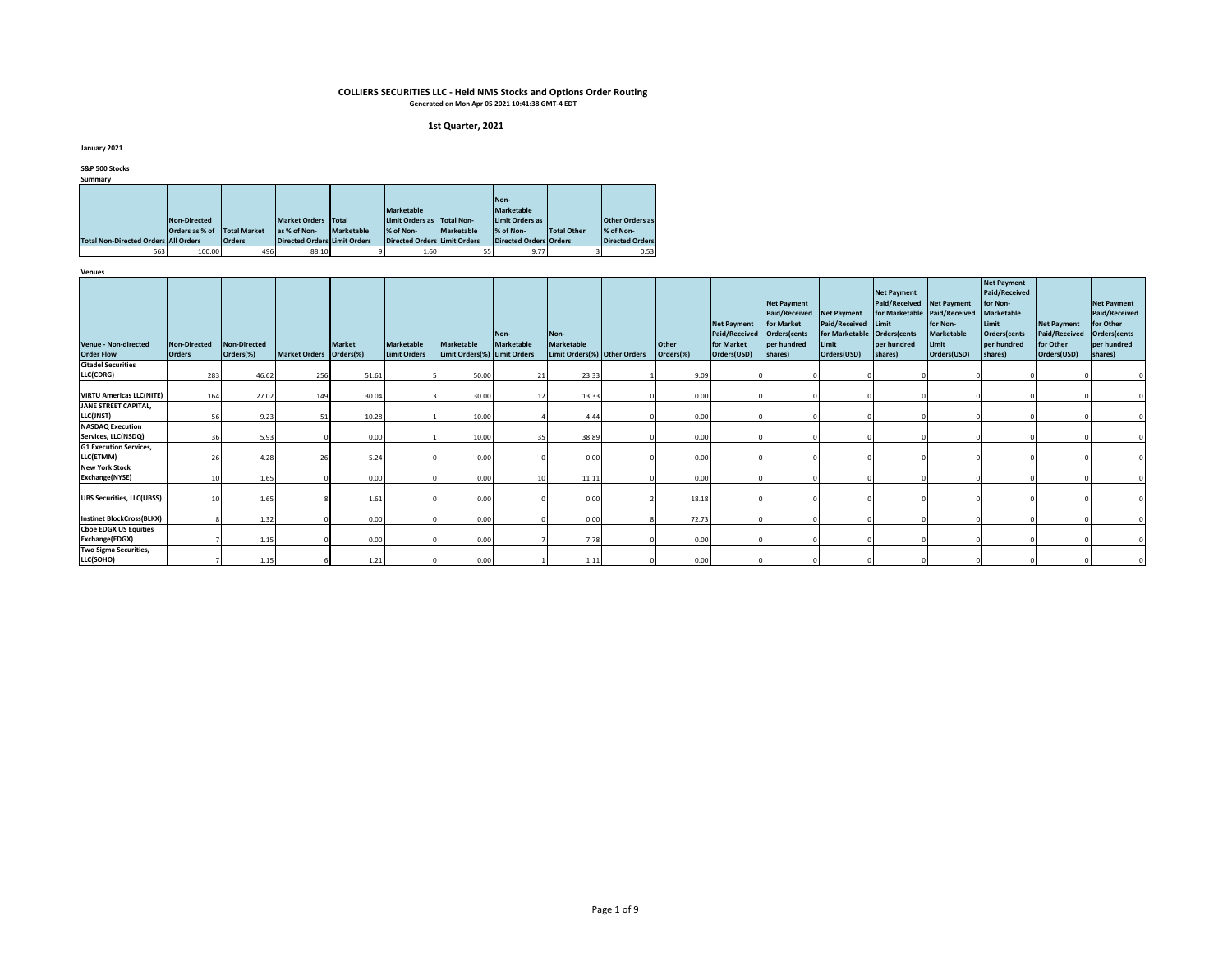#### **1st Quarter, 2021**

**January 2021**

**S&P 500 Stocks**

**Summary**

|                                             |                |                     |                                     |              |                                     |            | Non-                          |             |                        |
|---------------------------------------------|----------------|---------------------|-------------------------------------|--------------|-------------------------------------|------------|-------------------------------|-------------|------------------------|
|                                             |                |                     |                                     |              |                                     |            |                               |             |                        |
|                                             |                |                     |                                     |              | <b>Marketable</b>                   |            | <b>Marketable</b>             |             |                        |
|                                             | Non-Directed   |                     | <b>Market Orders</b>                | <b>Total</b> | Limit Orders as                     | Total Non- | Limit Orders as               |             | <b>Other Orders as</b> |
|                                             | Orders as % of | <b>Total Market</b> | las % of Non-                       | Marketable   | % of Non-                           | Marketable | % of Non-                     | Total Other | % of Non-              |
| <b>Total Non-Directed Orders All Orders</b> |                | <b>Orders</b>       | <b>Directed Orders Limit Orders</b> |              | <b>Directed Orders Limit Orders</b> |            | <b>Directed Orders Orders</b> |             | <b>Directed Orders</b> |
| 563                                         | 100.00         | 496                 | 88.10                               |              | 1.60                                | 55         | 9.77                          |             | 0.53                   |

| Acuaca<br><b>Venue - Non-directed</b><br><b>Order Flow</b> | <b>Non-Directed</b><br><b>Orders</b> | Non-Directed<br>Orders(%) | Market Orders Orders(%) | <b>Market</b> | <b>Marketable</b><br><b>Limit Orders</b> | <b>Marketable</b><br>Limit Orders(%) Limit Orders | Non-<br><b>Marketable</b> | Non-<br>Marketable<br>Limit Orders(%) Other Orders | <b>Other</b><br>Orders(%) | <b>Net Payment</b><br><b>Paid/Received</b><br>for Market<br>Orders(USD) | <b>Net Payment</b><br><b>Paid/Received</b><br>for Market<br><b>Orders</b> (cents<br>per hundred<br>shares) | <b>Net Payment</b><br>Paid/Received Limit<br>for Marketable Orders(cents<br>Limit<br>Orders(USD) | <b>Net Payment</b><br>Paid/Received<br>per hundred<br>shares) | <b>Net Payment</b><br>for Marketable Paid/Received<br>for Non-<br><b>Marketable</b><br>Limit<br>Orders(USD) | <b>Net Payment</b><br>Paid/Received<br>for Non-<br><b>Marketable</b><br>Limit<br>Orders(cents<br>per hundred<br>shares) | <b>Net Payment</b><br><b>Paid/Received</b><br>for Other<br>Orders(USD) | <b>Net Payment</b><br><b>Paid/Received</b><br>for Other<br>Orders(cents<br>per hundred<br>shares) |
|------------------------------------------------------------|--------------------------------------|---------------------------|-------------------------|---------------|------------------------------------------|---------------------------------------------------|---------------------------|----------------------------------------------------|---------------------------|-------------------------------------------------------------------------|------------------------------------------------------------------------------------------------------------|--------------------------------------------------------------------------------------------------|---------------------------------------------------------------|-------------------------------------------------------------------------------------------------------------|-------------------------------------------------------------------------------------------------------------------------|------------------------------------------------------------------------|---------------------------------------------------------------------------------------------------|
| <b>Citadel Securities</b>                                  |                                      |                           |                         |               |                                          |                                                   |                           |                                                    |                           |                                                                         |                                                                                                            |                                                                                                  |                                                               |                                                                                                             |                                                                                                                         |                                                                        |                                                                                                   |
| LLC(CDRG)                                                  | 283                                  | 46.62                     | 256                     | 51.61         |                                          | 50.00                                             | 21                        | 23.33                                              | 9.09                      |                                                                         |                                                                                                            |                                                                                                  |                                                               |                                                                                                             |                                                                                                                         |                                                                        |                                                                                                   |
| <b>VIRTU Americas LLC(NITE)</b>                            | 164                                  | 27.02                     | 149                     | 30.04         |                                          | 30.00                                             | 12                        | 13.33                                              | 0.00                      |                                                                         |                                                                                                            |                                                                                                  |                                                               |                                                                                                             |                                                                                                                         |                                                                        |                                                                                                   |
| JANE STREET CAPITAL,<br>LLC(JNST)                          | 56                                   | 9.23                      |                         | 10.28         |                                          | 10.00                                             |                           | 4.44                                               | 0.00                      |                                                                         |                                                                                                            |                                                                                                  |                                                               |                                                                                                             |                                                                                                                         |                                                                        |                                                                                                   |
| <b>NASDAQ Execution</b>                                    |                                      |                           |                         |               |                                          |                                                   |                           |                                                    |                           |                                                                         |                                                                                                            |                                                                                                  |                                                               |                                                                                                             |                                                                                                                         |                                                                        |                                                                                                   |
| Services, LLC(NSDQ)                                        | 36                                   | 5.93                      |                         | 0.00          |                                          | 10.00                                             | 35                        | 38.89                                              | 0.00                      |                                                                         |                                                                                                            |                                                                                                  |                                                               |                                                                                                             |                                                                                                                         |                                                                        |                                                                                                   |
| <b>G1 Execution Services,</b><br>LLC(ETMM)                 | 26                                   | 4.28                      |                         | 5.24          |                                          | 0.00                                              |                           | 0.00                                               | 0.00                      |                                                                         |                                                                                                            |                                                                                                  |                                                               |                                                                                                             |                                                                                                                         |                                                                        |                                                                                                   |
| <b>New York Stock</b><br>Exchange(NYSE)                    | 10                                   | 1.65                      |                         | 0.00          |                                          | 0.00                                              | 10                        | 11.11                                              | 0.00                      |                                                                         |                                                                                                            |                                                                                                  |                                                               |                                                                                                             |                                                                                                                         |                                                                        |                                                                                                   |
| <b>UBS Securities, LLC(UBSS)</b>                           | 10                                   | 1.65                      |                         | 1.61          |                                          | 0.00                                              |                           | 0.00                                               | 18.18                     |                                                                         |                                                                                                            |                                                                                                  |                                                               |                                                                                                             |                                                                                                                         |                                                                        |                                                                                                   |
| <b>Instinet BlockCross(BLKX)</b>                           |                                      | 1.32                      |                         | 0.00          |                                          | 0.00                                              |                           | 0.00                                               | 72.73                     |                                                                         |                                                                                                            |                                                                                                  |                                                               |                                                                                                             |                                                                                                                         |                                                                        |                                                                                                   |
| <b>Choe EDGX US Equities</b><br>Exchange(EDGX)             |                                      | 1.15                      |                         | 0.00          |                                          | 0.00                                              |                           | 7.78                                               | 0.00                      |                                                                         |                                                                                                            |                                                                                                  |                                                               |                                                                                                             |                                                                                                                         |                                                                        |                                                                                                   |
| Two Sigma Securities,<br>LLC(SOHO)                         |                                      | 1.15                      |                         | 1.21          |                                          | 0.00                                              |                           | 1.11                                               | 0.00                      |                                                                         |                                                                                                            |                                                                                                  |                                                               |                                                                                                             |                                                                                                                         |                                                                        |                                                                                                   |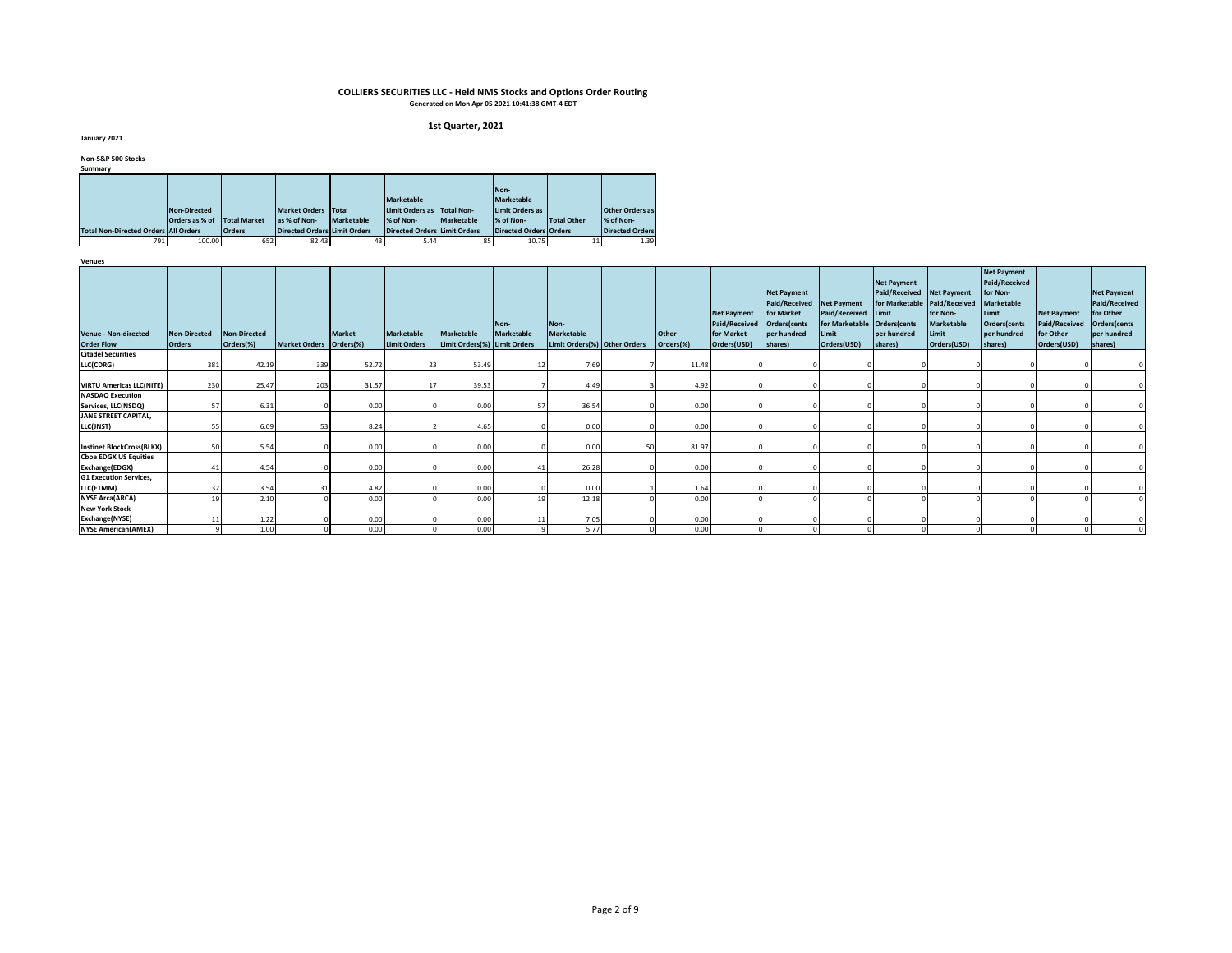#### **1st Quarter, 2021**

**January 2021**

**Non-S&P 500 Stocks**

| Summary                                     |                |                     |                                     |            |                                     |                   |                        |                    |                        |
|---------------------------------------------|----------------|---------------------|-------------------------------------|------------|-------------------------------------|-------------------|------------------------|--------------------|------------------------|
|                                             |                |                     |                                     |            |                                     |                   | Non-                   |                    |                        |
|                                             |                |                     |                                     |            |                                     |                   |                        |                    |                        |
|                                             |                |                     |                                     |            | <b>Marketable</b>                   |                   | <b>Marketable</b>      |                    |                        |
|                                             | Non-Directed   |                     | <b>Market Orders</b>                | Total      | Limit Orders as                     | <b>Total Non-</b> | Limit Orders as        |                    | <b>Other Orders as</b> |
|                                             | Orders as % of | <b>Total Market</b> | as % of Non-                        | Marketable | % of Non-                           | Marketable        | % of Non-              | <b>Total Other</b> | % of Non-              |
| <b>Total Non-Directed Orders All Orders</b> |                | <b>Orders</b>       | <b>Directed Orders Limit Orders</b> |            | <b>Directed Orders Limit Orders</b> |                   | Directed Orders Orders |                    | <b>Directed Orders</b> |
| 791                                         | 100.00         | 652                 | 82.43                               | 43         | 5.44                                | 85                | 10.75                  | 11                 | 1.39                   |

| .                                                |                               |                           |                         |               |                                          |                                                   |                    |                                                           |    |                    |                                                                         |                                                                                                         |                                                                      |                                                                                                                    |                                                |                                                                                                                         |                                                                        |                                                                                            |
|--------------------------------------------------|-------------------------------|---------------------------|-------------------------|---------------|------------------------------------------|---------------------------------------------------|--------------------|-----------------------------------------------------------|----|--------------------|-------------------------------------------------------------------------|---------------------------------------------------------------------------------------------------------|----------------------------------------------------------------------|--------------------------------------------------------------------------------------------------------------------|------------------------------------------------|-------------------------------------------------------------------------------------------------------------------------|------------------------------------------------------------------------|--------------------------------------------------------------------------------------------|
| <b>Venue - Non-directed</b><br><b>Order Flow</b> | Non-Directed<br><b>Orders</b> | Non-Directed<br>Orders(%) | Market Orders Orders(%) | <b>Market</b> | <b>Marketable</b><br><b>Limit Orders</b> | <b>Marketable</b><br>Limit Orders(%) Limit Orders | Non-<br>Marketable | Non-<br><b>Marketable</b><br>Limit Orders(%) Other Orders |    | Other<br>Orders(%) | <b>Net Payment</b><br><b>Paid/Received</b><br>for Market<br>Orders(USD) | <b>Net Payment</b><br>Paid/Received Net Payment<br>for Market<br>Orders(cents<br>per hundred<br>shares) | Paid/Received<br>for Marketable Orders(cents<br>Limit<br>Orders(USD) | <b>Net Payment</b><br>Paid/Received Net Payment<br>for Marketable Paid/Received<br>Limit<br>per hundred<br>shares) | for Non-<br>Marketable<br>Limit<br>Orders(USD) | <b>Net Payment</b><br>Paid/Received<br>for Non-<br><b>Marketable</b><br>Limit<br>Orders(cents<br>per hundred<br>shares) | <b>Net Payment</b><br><b>Paid/Received</b><br>for Other<br>Orders(USD) | <b>Net Payment</b><br>Paid/Received<br>for Other<br>Orders(cents<br>per hundred<br>shares) |
| <b>Citadel Securities</b>                        |                               |                           |                         |               |                                          |                                                   |                    |                                                           |    |                    |                                                                         |                                                                                                         |                                                                      |                                                                                                                    |                                                |                                                                                                                         |                                                                        |                                                                                            |
| LLC(CDRG)                                        | 381                           | 42.19                     | 339                     | 52.72         | 23                                       | 53.49                                             | 12                 | 7.69                                                      |    | 11.48              |                                                                         |                                                                                                         |                                                                      |                                                                                                                    |                                                |                                                                                                                         |                                                                        |                                                                                            |
| <b>VIRTU Americas LLC(NITE)</b>                  | 230                           | 25.47                     | 203                     | 31.57         |                                          | 39.53                                             |                    | 4.49                                                      |    | 4.92               |                                                                         |                                                                                                         |                                                                      |                                                                                                                    |                                                |                                                                                                                         |                                                                        |                                                                                            |
| <b>NASDAQ Execution</b>                          |                               |                           |                         |               |                                          |                                                   |                    |                                                           |    |                    |                                                                         |                                                                                                         |                                                                      |                                                                                                                    |                                                |                                                                                                                         |                                                                        |                                                                                            |
| Services, LLC(NSDQ)                              | 57                            | 6.31                      |                         | 0.00          |                                          | 0.00                                              | 57                 | 36.54                                                     |    | 0.00               |                                                                         |                                                                                                         |                                                                      |                                                                                                                    |                                                |                                                                                                                         |                                                                        |                                                                                            |
| JANE STREET CAPITAL,                             |                               |                           |                         |               |                                          |                                                   |                    |                                                           |    |                    |                                                                         |                                                                                                         |                                                                      |                                                                                                                    |                                                |                                                                                                                         |                                                                        |                                                                                            |
| LLC(JNST)                                        | 55                            | 6.09                      |                         | 8.24          |                                          | 4.65                                              |                    | 0.00                                                      |    | 0.00               |                                                                         |                                                                                                         |                                                                      |                                                                                                                    |                                                |                                                                                                                         |                                                                        |                                                                                            |
| <b>Instinet BlockCross(BLKX)</b>                 | 50                            | 5.54                      |                         | 0.00          |                                          | 0.00                                              |                    | 0.00                                                      | 50 | 81.97              |                                                                         |                                                                                                         |                                                                      |                                                                                                                    |                                                |                                                                                                                         |                                                                        |                                                                                            |
| <b>Cboe EDGX US Equities</b>                     |                               |                           |                         |               |                                          |                                                   |                    |                                                           |    |                    |                                                                         |                                                                                                         |                                                                      |                                                                                                                    |                                                |                                                                                                                         |                                                                        |                                                                                            |
| Exchange(EDGX)                                   |                               | 4.54                      |                         | 0.00          |                                          | 0.00                                              | 41                 | 26.28                                                     |    | 0.00               |                                                                         |                                                                                                         |                                                                      |                                                                                                                    |                                                |                                                                                                                         |                                                                        |                                                                                            |
| <b>G1 Execution Services,</b>                    |                               |                           |                         |               |                                          |                                                   |                    |                                                           |    |                    |                                                                         |                                                                                                         |                                                                      |                                                                                                                    |                                                |                                                                                                                         |                                                                        |                                                                                            |
| LLC(ETMM)                                        | 32                            | 3.54                      |                         | 4.82          |                                          | 0.00                                              |                    | 0.00                                                      |    | 1.64               |                                                                         |                                                                                                         |                                                                      |                                                                                                                    |                                                |                                                                                                                         |                                                                        |                                                                                            |
| <b>NYSE Arca(ARCA)</b>                           |                               | 2.10                      |                         | 0.00          |                                          | 0.00                                              | 19                 | 12.18                                                     |    | 0.00               |                                                                         |                                                                                                         |                                                                      |                                                                                                                    |                                                |                                                                                                                         |                                                                        |                                                                                            |
| <b>New York Stock</b>                            |                               |                           |                         |               |                                          |                                                   |                    |                                                           |    |                    |                                                                         |                                                                                                         |                                                                      |                                                                                                                    |                                                |                                                                                                                         |                                                                        |                                                                                            |
| Exchange(NYSE)                                   |                               | 1.22                      |                         | 0.00          |                                          | 0.00                                              | 11                 | 7.05                                                      |    | 0.00               |                                                                         |                                                                                                         |                                                                      |                                                                                                                    |                                                |                                                                                                                         |                                                                        |                                                                                            |
| <b>NYSE American(AMEX)</b>                       |                               | 1.00                      |                         | 0.00          |                                          | 0.00                                              |                    | 5.77                                                      |    | 0.00               |                                                                         |                                                                                                         |                                                                      |                                                                                                                    |                                                |                                                                                                                         |                                                                        |                                                                                            |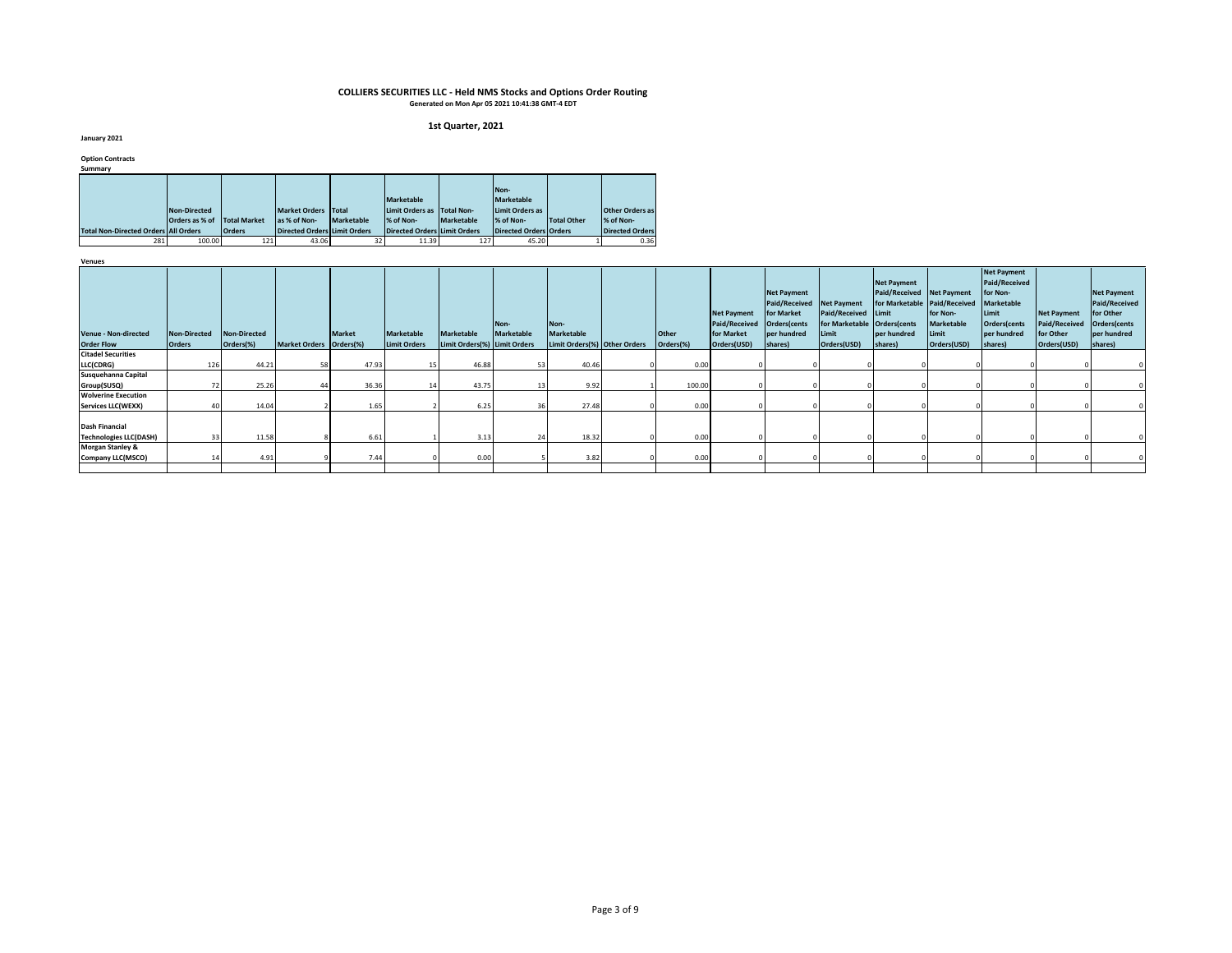#### **1st Quarter, 2021**

**January 2021**

**Option Contracts**

| Summarv                                     |                |                     |                              |                   |                                     |                   |                        |             |                        |
|---------------------------------------------|----------------|---------------------|------------------------------|-------------------|-------------------------------------|-------------------|------------------------|-------------|------------------------|
|                                             |                |                     |                              |                   |                                     |                   |                        |             |                        |
|                                             |                |                     |                              |                   |                                     |                   | Non-                   |             |                        |
|                                             |                |                     |                              |                   | Marketable                          |                   | <b>Marketable</b>      |             |                        |
|                                             | Non-Directed   |                     | <b>Market Orders</b>         | Total             | Limit Orders as                     | Total Non-        | Limit Orders as        |             | <b>Other Orders as</b> |
|                                             | Orders as % of | <b>Total Market</b> | las % of Non-                | <b>Marketable</b> | % of Non-                           | <b>Marketable</b> | % of Non-              | Total Other | % of Non-              |
| <b>Total Non-Directed Orders All Orders</b> |                | <b>Orders</b>       | Directed Orders Limit Orders |                   | <b>Directed Orders Limit Orders</b> |                   | Directed Orders Orders |             | <b>Directed Orders</b> |
| 281                                         | 100.00         | 121                 | 43.06                        | 32                | 11.39                               | 127               | 45.20                  |             | 0.36                   |

| <b>ACTINGS</b>                                         |                                      |                                  |                         |               |                                          |                                                   |                           |                                                           |                           |                                                                         |                                                                                                    |                                                                                     |                                                                                                                           |                                                       |                                                                                                                         |                                                                        |                                                                                                   |
|--------------------------------------------------------|--------------------------------------|----------------------------------|-------------------------|---------------|------------------------------------------|---------------------------------------------------|---------------------------|-----------------------------------------------------------|---------------------------|-------------------------------------------------------------------------|----------------------------------------------------------------------------------------------------|-------------------------------------------------------------------------------------|---------------------------------------------------------------------------------------------------------------------------|-------------------------------------------------------|-------------------------------------------------------------------------------------------------------------------------|------------------------------------------------------------------------|---------------------------------------------------------------------------------------------------|
| <b>Venue - Non-directed</b><br><b>Order Flow</b>       | <b>Non-Directed</b><br><b>Orders</b> | <b>Non-Directed</b><br>Orders(%) | Market Orders Orders(%) | <b>Market</b> | <b>Marketable</b><br><b>Limit Orders</b> | <b>Marketable</b><br>Limit Orders(%) Limit Orders | Non-<br><b>Marketable</b> | Non-<br><b>Marketable</b><br>Limit Orders(%) Other Orders | <b>Other</b><br>Orders(%) | <b>Net Payment</b><br><b>Paid/Received</b><br>for Market<br>Orders(USD) | <b>Net Payment</b><br><b>Paid/Received</b><br>for Market<br>Orders(cents<br>per hundred<br>shares) | <b>Net Payment</b><br>Paid/Received Limit<br>for Marketable<br>Limit<br>Orders(USD) | <b>Net Payment</b><br>Paid/Received Net Payment<br>for Marketable Paid/Received<br>Orders(cents<br>per hundred<br>shares) | for Non-<br><b>Marketable</b><br>Limit<br>Orders(USD) | <b>Net Payment</b><br>Paid/Received<br>for Non-<br><b>Marketable</b><br>Limit<br>Orders(cents<br>per hundred<br>shares) | <b>Net Payment</b><br><b>Paid/Received</b><br>for Other<br>Orders(USD) | <b>Net Payment</b><br><b>Paid/Received</b><br>for Other<br>Orders(cents<br>per hundred<br>shares) |
| <b>Citadel Securities</b>                              |                                      |                                  |                         |               |                                          |                                                   |                           |                                                           |                           |                                                                         |                                                                                                    |                                                                                     |                                                                                                                           |                                                       |                                                                                                                         |                                                                        |                                                                                                   |
| LLC(CDRG)                                              | 126                                  | 44.21                            |                         | 47.93         |                                          | 46.88                                             | 53                        | 40.46                                                     | 0.00                      |                                                                         |                                                                                                    |                                                                                     |                                                                                                                           |                                                       |                                                                                                                         |                                                                        |                                                                                                   |
| Susquehanna Capital                                    |                                      |                                  |                         |               |                                          |                                                   |                           |                                                           |                           |                                                                         |                                                                                                    |                                                                                     |                                                                                                                           |                                                       |                                                                                                                         |                                                                        |                                                                                                   |
| Group(SUSQ)                                            |                                      | 25.26                            |                         | 36.36         |                                          | 43.75                                             | 13                        | 9.92                                                      | 100.00                    |                                                                         |                                                                                                    |                                                                                     |                                                                                                                           |                                                       |                                                                                                                         |                                                                        |                                                                                                   |
| <b>Wolverine Execution</b>                             |                                      |                                  |                         |               |                                          |                                                   |                           |                                                           |                           |                                                                         |                                                                                                    |                                                                                     |                                                                                                                           |                                                       |                                                                                                                         |                                                                        |                                                                                                   |
| <b>Services LLC(WEXX)</b>                              |                                      | 14.04                            |                         | 1.65          |                                          | 6.25                                              | 36                        | 27.48                                                     | 0.00                      |                                                                         |                                                                                                    |                                                                                     |                                                                                                                           |                                                       |                                                                                                                         |                                                                        |                                                                                                   |
|                                                        |                                      |                                  |                         |               |                                          |                                                   |                           |                                                           |                           |                                                                         |                                                                                                    |                                                                                     |                                                                                                                           |                                                       |                                                                                                                         |                                                                        |                                                                                                   |
| <b>Dash Financial</b><br><b>Technologies LLC(DASH)</b> | 33                                   | 11.58                            |                         | 6.61          |                                          | 3.13                                              | 24                        | 18.32                                                     | 0.00                      |                                                                         |                                                                                                    |                                                                                     |                                                                                                                           |                                                       |                                                                                                                         |                                                                        |                                                                                                   |
| <b>Morgan Stanley &amp;</b>                            |                                      |                                  |                         |               |                                          |                                                   |                           |                                                           |                           |                                                                         |                                                                                                    |                                                                                     |                                                                                                                           |                                                       |                                                                                                                         |                                                                        |                                                                                                   |
| Company LLC(MSCO)                                      |                                      | 4.91                             |                         | 7.44          |                                          | 0.00                                              |                           | 3.82                                                      | 0.00                      |                                                                         |                                                                                                    |                                                                                     |                                                                                                                           |                                                       |                                                                                                                         |                                                                        |                                                                                                   |
|                                                        |                                      |                                  |                         |               |                                          |                                                   |                           |                                                           |                           |                                                                         |                                                                                                    |                                                                                     |                                                                                                                           |                                                       |                                                                                                                         |                                                                        |                                                                                                   |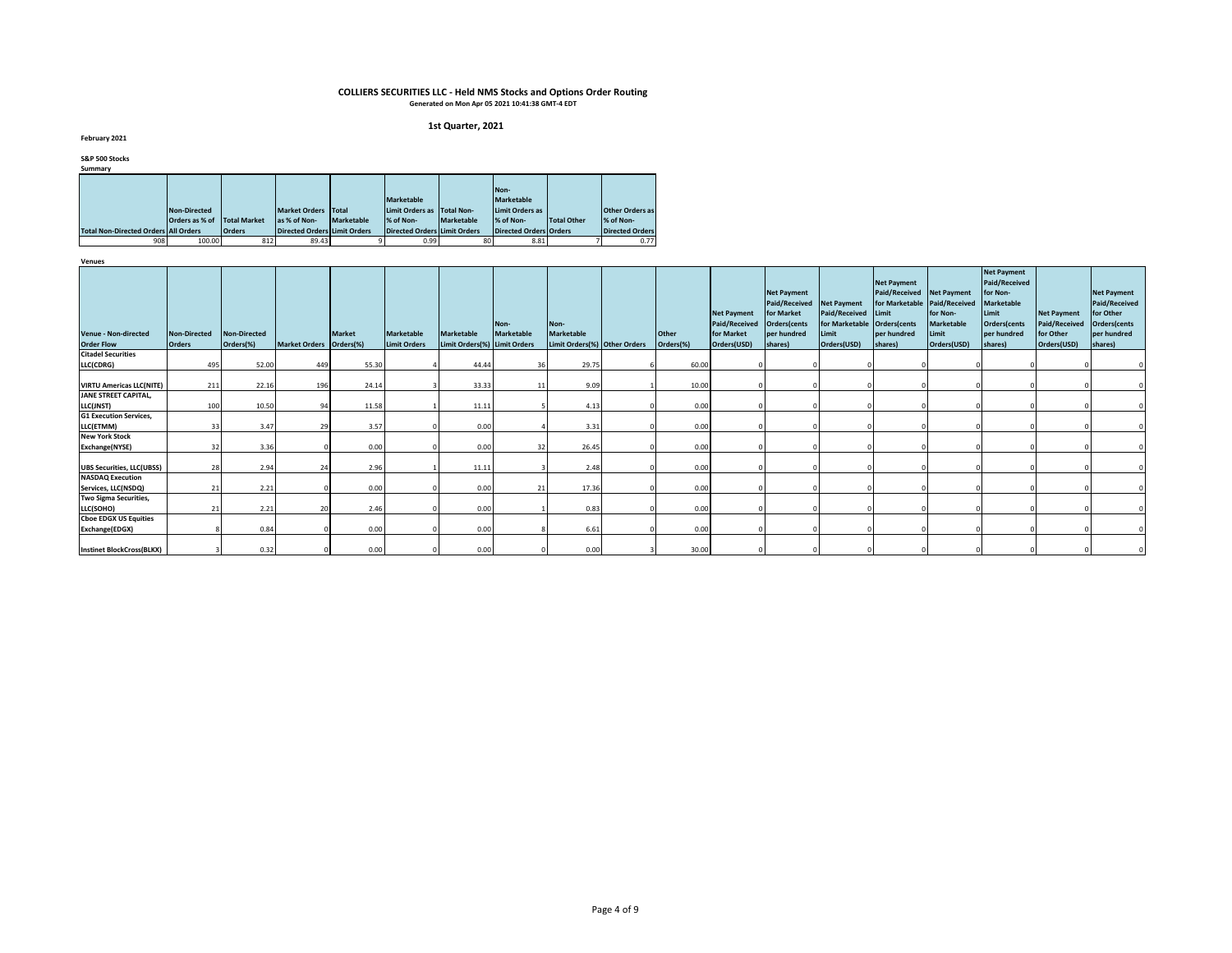#### **1st Quarter, 2021**

**February 2021**

**S&P 500 Stocks**

| Summarv                                     |                |                     |                                     |                   |                                     |            |                               |                    |                        |
|---------------------------------------------|----------------|---------------------|-------------------------------------|-------------------|-------------------------------------|------------|-------------------------------|--------------------|------------------------|
|                                             |                |                     |                                     |                   |                                     |            |                               |                    |                        |
|                                             |                |                     |                                     |                   |                                     |            | Non-                          |                    |                        |
|                                             |                |                     |                                     |                   | <b>Marketable</b>                   |            | <b>Marketable</b>             |                    |                        |
|                                             | Non-Directed   |                     | Market Orders Total                 |                   | Limit Orders as                     | Total Non- | Limit Orders as               |                    | <b>Other Orders as</b> |
|                                             | Orders as % of | <b>Total Market</b> | las % of Non-                       | <b>Marketable</b> | % of Non-                           | Marketable | % of Non-                     | <b>Total Other</b> | % of Non-              |
| <b>Total Non-Directed Orders All Orders</b> |                | <b>Orders</b>       | <b>Directed Orders Limit Orders</b> |                   | <b>Directed Orders Limit Orders</b> |            | <b>Directed Orders Orders</b> |                    | <b>Directed Orders</b> |
| 908                                         | 100.00         | 812                 | 89.43                               |                   | 0.99                                | 80         | 8.81                          |                    | 0.77                   |

| Acura                                            |                               |                           |                         |               |                                          |                                                   |                    |                                                           |                           |                                                                         |                                                                                                         |                                                                            |                                                                                                           |                                                       |                                                                                                                         |                                                                        |                                                                                                   |
|--------------------------------------------------|-------------------------------|---------------------------|-------------------------|---------------|------------------------------------------|---------------------------------------------------|--------------------|-----------------------------------------------------------|---------------------------|-------------------------------------------------------------------------|---------------------------------------------------------------------------------------------------------|----------------------------------------------------------------------------|-----------------------------------------------------------------------------------------------------------|-------------------------------------------------------|-------------------------------------------------------------------------------------------------------------------------|------------------------------------------------------------------------|---------------------------------------------------------------------------------------------------|
| <b>Venue - Non-directed</b><br><b>Order Flow</b> | Non-Directed<br><b>Orders</b> | Non-Directed<br>Orders(%) | Market Orders Orders(%) | <b>Market</b> | <b>Marketable</b><br><b>Limit Orders</b> | <b>Marketable</b><br>Limit Orders(%) Limit Orders | Non-<br>Marketable | Non-<br><b>Marketable</b><br>Limit Orders(%) Other Orders | <b>Other</b><br>Orders(%) | <b>Net Payment</b><br><b>Paid/Received</b><br>for Market<br>Orders(USD) | <b>Net Payment</b><br>Paid/Received Net Payment<br>for Market<br>Orders(cents<br>per hundred<br>shares) | Paid/Received Limit<br>for Marketable Orders(cents<br>Limit<br>Orders(USD) | <b>Net Payment</b><br>Paid/Received Net Payment<br>for Marketable Paid/Received<br>per hundred<br>shares) | for Non-<br><b>Marketable</b><br>Limit<br>Orders(USD) | <b>Net Payment</b><br>Paid/Received<br>for Non-<br><b>Marketable</b><br>Limit<br>Orders(cents<br>per hundred<br>shares) | <b>Net Payment</b><br><b>Paid/Received</b><br>for Other<br>Orders(USD) | <b>Net Payment</b><br><b>Paid/Received</b><br>for Other<br>Orders(cents<br>per hundred<br>shares) |
| <b>Citadel Securities</b>                        |                               |                           |                         |               |                                          |                                                   |                    |                                                           |                           |                                                                         |                                                                                                         |                                                                            |                                                                                                           |                                                       |                                                                                                                         |                                                                        |                                                                                                   |
| LLC(CDRG)                                        | 495                           | 52.00                     | 449                     | 55.30         |                                          | 44.44                                             | 36                 | 29.75                                                     | 60.00                     |                                                                         |                                                                                                         |                                                                            |                                                                                                           |                                                       |                                                                                                                         |                                                                        |                                                                                                   |
| <b>VIRTU Americas LLC(NITE)</b>                  | 211                           | 22.16                     | 196                     | 24.14         |                                          | 33.33                                             | 11                 | 9.09                                                      | 10.00                     |                                                                         |                                                                                                         |                                                                            |                                                                                                           |                                                       |                                                                                                                         |                                                                        |                                                                                                   |
| JANE STREET CAPITAL,                             |                               |                           |                         |               |                                          |                                                   |                    |                                                           |                           |                                                                         |                                                                                                         |                                                                            |                                                                                                           |                                                       |                                                                                                                         |                                                                        |                                                                                                   |
| LLC(JNST)                                        | 100                           | 10.50                     | 94                      | 11.58         |                                          | 11.11                                             |                    | 4.13                                                      | 0.00                      |                                                                         |                                                                                                         |                                                                            |                                                                                                           |                                                       |                                                                                                                         |                                                                        |                                                                                                   |
| <b>G1 Execution Services,</b>                    |                               |                           |                         |               |                                          |                                                   |                    |                                                           |                           |                                                                         |                                                                                                         |                                                                            |                                                                                                           |                                                       |                                                                                                                         |                                                                        |                                                                                                   |
| LLC(ETMM)                                        | 33                            | 3.47                      |                         | 3.57          |                                          | 0.00                                              |                    | 3.31                                                      | 0.00                      |                                                                         |                                                                                                         |                                                                            |                                                                                                           |                                                       |                                                                                                                         |                                                                        |                                                                                                   |
| <b>New York Stock</b>                            |                               |                           |                         |               |                                          |                                                   |                    |                                                           |                           |                                                                         |                                                                                                         |                                                                            |                                                                                                           |                                                       |                                                                                                                         |                                                                        |                                                                                                   |
| Exchange(NYSE)                                   | 32                            | 3.36                      |                         | 0.00          |                                          | 0.00                                              | 32                 | 26.45                                                     | 0.00                      |                                                                         |                                                                                                         |                                                                            |                                                                                                           |                                                       |                                                                                                                         |                                                                        |                                                                                                   |
| <b>UBS Securities, LLC(UBSS)</b>                 | 28                            | 2.94                      |                         | 2.96          |                                          | 11.11                                             |                    | 2.48                                                      | 0.00                      |                                                                         |                                                                                                         |                                                                            |                                                                                                           |                                                       |                                                                                                                         |                                                                        |                                                                                                   |
| <b>NASDAQ Execution</b>                          |                               |                           |                         |               |                                          |                                                   |                    |                                                           |                           |                                                                         |                                                                                                         |                                                                            |                                                                                                           |                                                       |                                                                                                                         |                                                                        |                                                                                                   |
| Services, LLC(NSDQ)                              | 21                            | 2.21                      |                         | 0.00          |                                          | 0.00                                              | 21                 | 17.36                                                     | 0.00                      |                                                                         |                                                                                                         |                                                                            |                                                                                                           |                                                       |                                                                                                                         |                                                                        |                                                                                                   |
| Two Sigma Securities,                            |                               |                           |                         |               |                                          |                                                   |                    |                                                           |                           |                                                                         |                                                                                                         |                                                                            |                                                                                                           |                                                       |                                                                                                                         |                                                                        |                                                                                                   |
| LLC(SOHO)                                        | 21                            | 2.21                      |                         | 2.46          |                                          | 0.00                                              |                    | 0.83                                                      | 0.00                      |                                                                         |                                                                                                         |                                                                            |                                                                                                           |                                                       |                                                                                                                         |                                                                        |                                                                                                   |
| <b>Choe EDGX US Equities</b>                     |                               |                           |                         |               |                                          |                                                   |                    |                                                           |                           |                                                                         |                                                                                                         |                                                                            |                                                                                                           |                                                       |                                                                                                                         |                                                                        |                                                                                                   |
| Exchange(EDGX)                                   |                               | 0.84                      |                         | 0.00          |                                          | 0.00                                              |                    | 6.61                                                      | 0.00                      |                                                                         |                                                                                                         |                                                                            |                                                                                                           |                                                       |                                                                                                                         |                                                                        |                                                                                                   |
| <b>Instinet BlockCross(BLKX)</b>                 |                               | 0.32                      |                         | 0.00          |                                          | 0.00                                              |                    | 0.00                                                      | 30.00                     |                                                                         |                                                                                                         |                                                                            |                                                                                                           |                                                       |                                                                                                                         |                                                                        |                                                                                                   |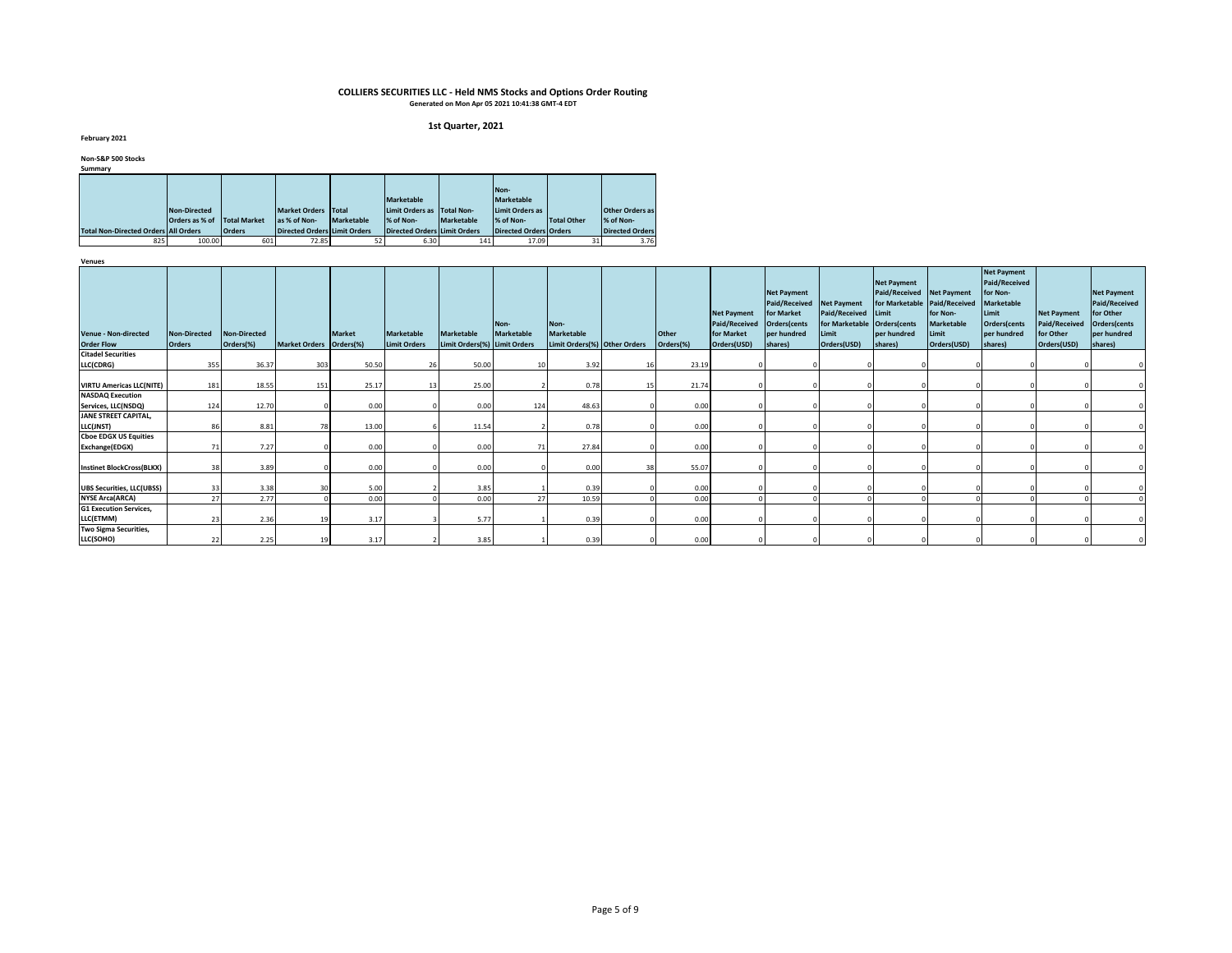#### **1st Quarter, 2021**

**February 2021**

**Non-S&P 500 Stocks**

| Summary                                     |                |                     |                                     |            |                                     |                   |                        |                    |                        |
|---------------------------------------------|----------------|---------------------|-------------------------------------|------------|-------------------------------------|-------------------|------------------------|--------------------|------------------------|
|                                             |                |                     |                                     |            |                                     |                   |                        |                    |                        |
|                                             |                |                     |                                     |            |                                     |                   | Non-                   |                    |                        |
|                                             |                |                     |                                     |            | <b>Marketable</b>                   |                   | <b>Marketable</b>      |                    |                        |
|                                             | Non-Directed   |                     | <b>Market Orders</b>                | Total      | Limit Orders as                     | <b>Total Non-</b> | Limit Orders as        |                    | <b>Other Orders as</b> |
|                                             | Orders as % of | <b>Total Market</b> | as % of Non-                        | Marketable | % of Non-                           | Marketable        | % of Non-              | <b>Total Other</b> | % of Non-              |
| <b>Total Non-Directed Orders All Orders</b> |                | <b>Orders</b>       | <b>Directed Orders Limit Orders</b> |            | <b>Directed Orders Limit Orders</b> |                   | Directed Orders Orders |                    | <b>Directed Orders</b> |
| 825                                         | 100.00         | 601                 | 72.85                               | 52         | 6.30                                | 141               | 17.09                  | 31                 | 3.76                   |

| Acuaca                             |                     |              |                         |               |                     |                              |            |                              |    |              | <b>Net Payment</b>   | <b>Net Payment</b><br>Paid/Received<br>for Market | <b>Net Payment</b><br>Paid/Received | <b>Net Payment</b><br>Paid/Received Net Payment<br>for Marketable Paid/Received<br>Limit | for Non-          | <b>Net Payment</b><br>Paid/Received<br>for Non-<br><b>Marketable</b><br>Limit | <b>Net Payment</b>   | <b>Net Payment</b><br>Paid/Received<br>for Other |
|------------------------------------|---------------------|--------------|-------------------------|---------------|---------------------|------------------------------|------------|------------------------------|----|--------------|----------------------|---------------------------------------------------|-------------------------------------|------------------------------------------------------------------------------------------|-------------------|-------------------------------------------------------------------------------|----------------------|--------------------------------------------------|
|                                    |                     |              |                         |               |                     |                              | Non-       | Non-                         |    |              | <b>Paid/Received</b> | Orders(cents                                      | for Marketable Orders(cents         |                                                                                          | <b>Marketable</b> | Orders(cents                                                                  | <b>Paid/Received</b> | Orders(cents                                     |
| <b>Venue - Non-directed</b>        | <b>Non-Directed</b> | Non-Directed |                         | <b>Market</b> | <b>Marketable</b>   | <b>Marketable</b>            | Marketable | <b>Marketable</b>            |    | <b>Other</b> | for Market           | per hundred                                       | Limit                               | per hundred                                                                              | Limit             | per hundred                                                                   | for Other            | per hundred                                      |
| <b>Order Flow</b>                  | <b>Orders</b>       | Orders(%)    | Market Orders Orders(%) |               | <b>Limit Orders</b> | Limit Orders(%) Limit Orders |            | Limit Orders(%) Other Orders |    | Orders(%)    | Orders(USD)          | shares)                                           | Orders(USD)                         | shares)                                                                                  | Orders(USD)       | shares)                                                                       | Orders(USD)          | shares)                                          |
| <b>Citadel Securities</b>          |                     |              |                         |               |                     |                              |            |                              |    |              |                      |                                                   |                                     |                                                                                          |                   |                                                                               |                      |                                                  |
| LLC(CDRG)                          | 355                 | 36.37        | 303                     | 50.50         | 26                  | 50.00                        | 10         | 3.92                         | 16 | 23.19        |                      |                                                   |                                     |                                                                                          |                   |                                                                               |                      |                                                  |
| <b>VIRTU Americas LLC(NITE)</b>    | 181                 | 18.55        | 151                     | 25.17         |                     | 25.00                        |            | 0.78                         | 15 | 21.74        |                      |                                                   |                                     |                                                                                          |                   |                                                                               |                      |                                                  |
| <b>NASDAQ Execution</b>            |                     |              |                         |               |                     |                              |            |                              |    |              |                      |                                                   |                                     |                                                                                          |                   |                                                                               |                      |                                                  |
| Services, LLC(NSDQ)                | 124                 | 12.70        |                         | 0.00          |                     | 0.00                         | 124        | 48.63                        |    | 0.00         |                      |                                                   |                                     |                                                                                          |                   |                                                                               |                      |                                                  |
| JANE STREET CAPITAL,<br>LLC(JNST)  | 86                  | 8.81         |                         | 13.00         |                     | 11.54                        |            | 0.78                         |    | 0.00         |                      |                                                   |                                     |                                                                                          |                   |                                                                               |                      |                                                  |
| <b>Choe EDGX US Equities</b>       |                     |              |                         |               |                     |                              |            |                              |    |              |                      |                                                   |                                     |                                                                                          |                   |                                                                               |                      |                                                  |
| Exchange(EDGX)                     | 71                  | 7.27         |                         | 0.00          |                     | 0.00                         | 71         | 27.84                        |    | 0.00         |                      |                                                   |                                     |                                                                                          |                   |                                                                               |                      |                                                  |
| <b>Instinet BlockCross(BLKX)</b>   | 38                  | 3.89         |                         | 0.00          |                     | 0.00                         |            | 0.00                         | 38 | 55.07        |                      |                                                   |                                     |                                                                                          |                   |                                                                               |                      |                                                  |
| <b>UBS Securities, LLC(UBSS)</b>   | 33                  | 3.38         |                         | 5.00          |                     | 3.85                         |            | 0.39                         |    | 0.00         |                      |                                                   |                                     |                                                                                          |                   |                                                                               |                      |                                                  |
| <b>NYSE Arca(ARCA)</b>             | 27                  | 2.77         |                         | 0.00          |                     | 0.00                         | 27         | 10.59                        |    | 0.00         |                      |                                                   |                                     |                                                                                          |                   |                                                                               |                      |                                                  |
| <b>G1 Execution Services,</b>      |                     |              |                         |               |                     |                              |            |                              |    |              |                      |                                                   |                                     |                                                                                          |                   |                                                                               |                      |                                                  |
| LLC(ETMM)                          | 23                  | 2.36         |                         | 3.17          |                     | 5.77                         |            | 0.39                         |    | 0.00         |                      |                                                   |                                     |                                                                                          |                   |                                                                               |                      |                                                  |
| Two Sigma Securities,<br>LLC(SOHO) | 22                  | 2.25         |                         | 3.17          |                     | 3.85                         |            | 0.39                         |    | 0.00         |                      |                                                   |                                     |                                                                                          |                   |                                                                               |                      |                                                  |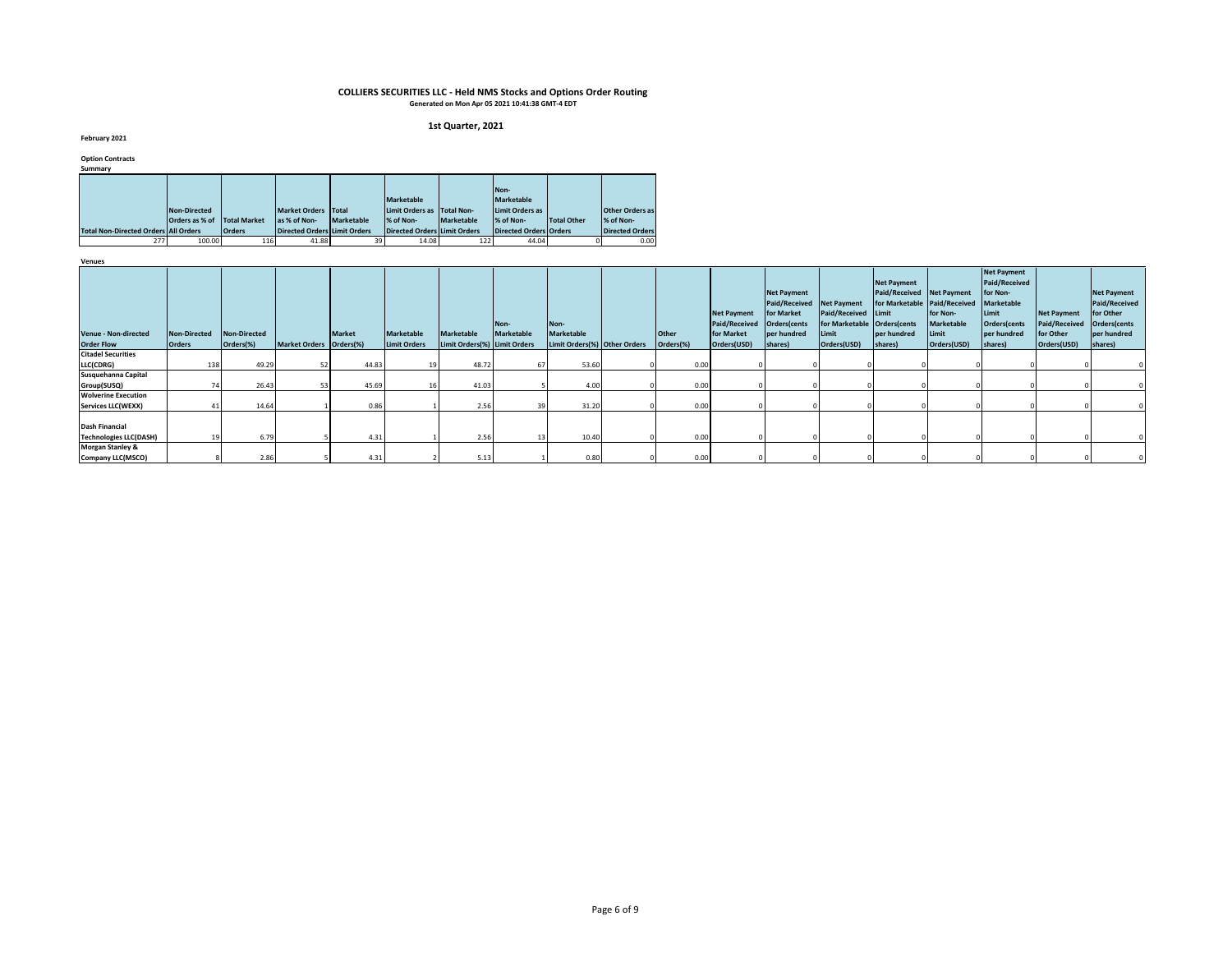#### **1st Quarter, 2021**

**February 2021**

**Option Contracts**

| Summarv                                     |                |                     |                                     |                   |                                     |            |                               |                    |                        |
|---------------------------------------------|----------------|---------------------|-------------------------------------|-------------------|-------------------------------------|------------|-------------------------------|--------------------|------------------------|
|                                             |                |                     |                                     |                   |                                     |            |                               |                    |                        |
|                                             |                |                     |                                     |                   |                                     |            | Non-                          |                    |                        |
|                                             |                |                     |                                     |                   | <b>Marketable</b>                   |            | <b>Marketable</b>             |                    |                        |
|                                             | Non-Directed   |                     | <b>Market Orders</b>                | Total             | Limit Orders as                     | Total Non- | Limit Orders as               |                    | <b>Other Orders as</b> |
|                                             | Orders as % of | <b>Total Market</b> | las % of Non-                       | <b>Marketable</b> | % of Non-                           | Marketable | % of Non-                     | <b>Total Other</b> | % of Non-              |
| <b>Total Non-Directed Orders All Orders</b> |                | <b>Orders</b>       | <b>Directed Orders Limit Orders</b> |                   | <b>Directed Orders Limit Orders</b> |            | <b>Directed Orders Orders</b> |                    | <b>Directed Orders</b> |
| 277                                         | 100.00         | 116                 | 41.88                               | 39                | 14.08                               | 122        | 44.04                         |                    | 0.00                   |

| venues                                                 |                     |                     |                         |        |                     |                              |                           |                              |              |                                                          |                                                                                              |                                                |                                                                                |                                                                        |                                                                                                              |                                                         |                                                                                 |
|--------------------------------------------------------|---------------------|---------------------|-------------------------|--------|---------------------|------------------------------|---------------------------|------------------------------|--------------|----------------------------------------------------------|----------------------------------------------------------------------------------------------|------------------------------------------------|--------------------------------------------------------------------------------|------------------------------------------------------------------------|--------------------------------------------------------------------------------------------------------------|---------------------------------------------------------|---------------------------------------------------------------------------------|
| <b>Venue - Non-directed</b>                            | <b>Non-Directed</b> | <b>Non-Directed</b> |                         | Market | <b>Marketable</b>   | <b>Marketable</b>            | Non-<br><b>Marketable</b> | Non-<br><b>Marketable</b>    | <b>Other</b> | <b>Net Payment</b><br><b>Paid/Received</b><br>for Market | <b>Net Payment</b><br>Paid/Received Net Payment<br>for Market<br>Orders(cents<br>per hundred | Paid/Received Limit<br>for Marketable<br>Limit | <b>Net Payment</b><br>Paid/Received Net Payment<br>Orders(cents<br>per hundred | for Marketable Paid/Received<br>for Non-<br><b>Marketable</b><br>Limit | <b>Net Payment</b><br><b>Paid/Received</b><br>for Non-<br>Marketable<br>Limit<br>Orders(cents<br>per hundred | <b>Net Payment</b><br><b>Paid/Received</b><br>for Other | <b>Net Payment</b><br>Paid/Received<br>for Other<br>Orders(cents<br>per hundred |
| <b>Order Flow</b>                                      | <b>Orders</b>       | Orders(%)           | Market Orders Orders(%) |        | <b>Limit Orders</b> | Limit Orders(%) Limit Orders |                           | Limit Orders(%) Other Orders | Orders(%)    | Orders(USD)                                              | shares)                                                                                      | Orders(USD)                                    | shares)                                                                        | Orders(USD)                                                            | shares)                                                                                                      | Orders(USD)                                             | shares)                                                                         |
| <b>Citadel Securities</b>                              |                     |                     |                         |        |                     |                              |                           |                              |              |                                                          |                                                                                              |                                                |                                                                                |                                                                        |                                                                                                              |                                                         |                                                                                 |
| LLC(CDRG)                                              | 138                 | 49.29               |                         | 44.83  |                     | 48.72                        | 67                        | 53.60                        | 0.00         |                                                          |                                                                                              |                                                |                                                                                |                                                                        |                                                                                                              |                                                         |                                                                                 |
| Susquehanna Capital                                    |                     |                     |                         |        |                     |                              |                           |                              |              |                                                          |                                                                                              |                                                |                                                                                |                                                                        |                                                                                                              |                                                         |                                                                                 |
| Group(SUSQ)                                            |                     | 26.43               |                         | 45.69  |                     | 41.03                        |                           | 4.00                         | 0.00         |                                                          |                                                                                              |                                                |                                                                                |                                                                        |                                                                                                              |                                                         |                                                                                 |
| <b>Wolverine Execution</b>                             |                     |                     |                         |        |                     |                              |                           |                              |              |                                                          |                                                                                              |                                                |                                                                                |                                                                        |                                                                                                              |                                                         |                                                                                 |
| <b>Services LLC(WEXX)</b>                              |                     | 14.64               |                         | 0.86   |                     | 2.56                         | 39                        | 31.20                        | 0.00         |                                                          |                                                                                              |                                                |                                                                                |                                                                        |                                                                                                              |                                                         |                                                                                 |
| <b>Dash Financial</b><br><b>Technologies LLC(DASH)</b> | 19                  | 6.79                |                         | 4.31   |                     | 2.56                         | 13                        | 10.40                        | 0.00         |                                                          |                                                                                              |                                                |                                                                                |                                                                        |                                                                                                              |                                                         |                                                                                 |
| <b>Morgan Stanley &amp;</b>                            |                     |                     |                         |        |                     |                              |                           |                              |              |                                                          |                                                                                              |                                                |                                                                                |                                                                        |                                                                                                              |                                                         |                                                                                 |
| Company LLC(MSCO)                                      |                     | 2.86                |                         | 4.31   |                     | 5.13                         |                           | 0.80                         | 0.00         |                                                          |                                                                                              |                                                |                                                                                |                                                                        |                                                                                                              |                                                         |                                                                                 |
|                                                        |                     |                     |                         |        |                     |                              |                           |                              |              |                                                          |                                                                                              |                                                |                                                                                |                                                                        |                                                                                                              |                                                         |                                                                                 |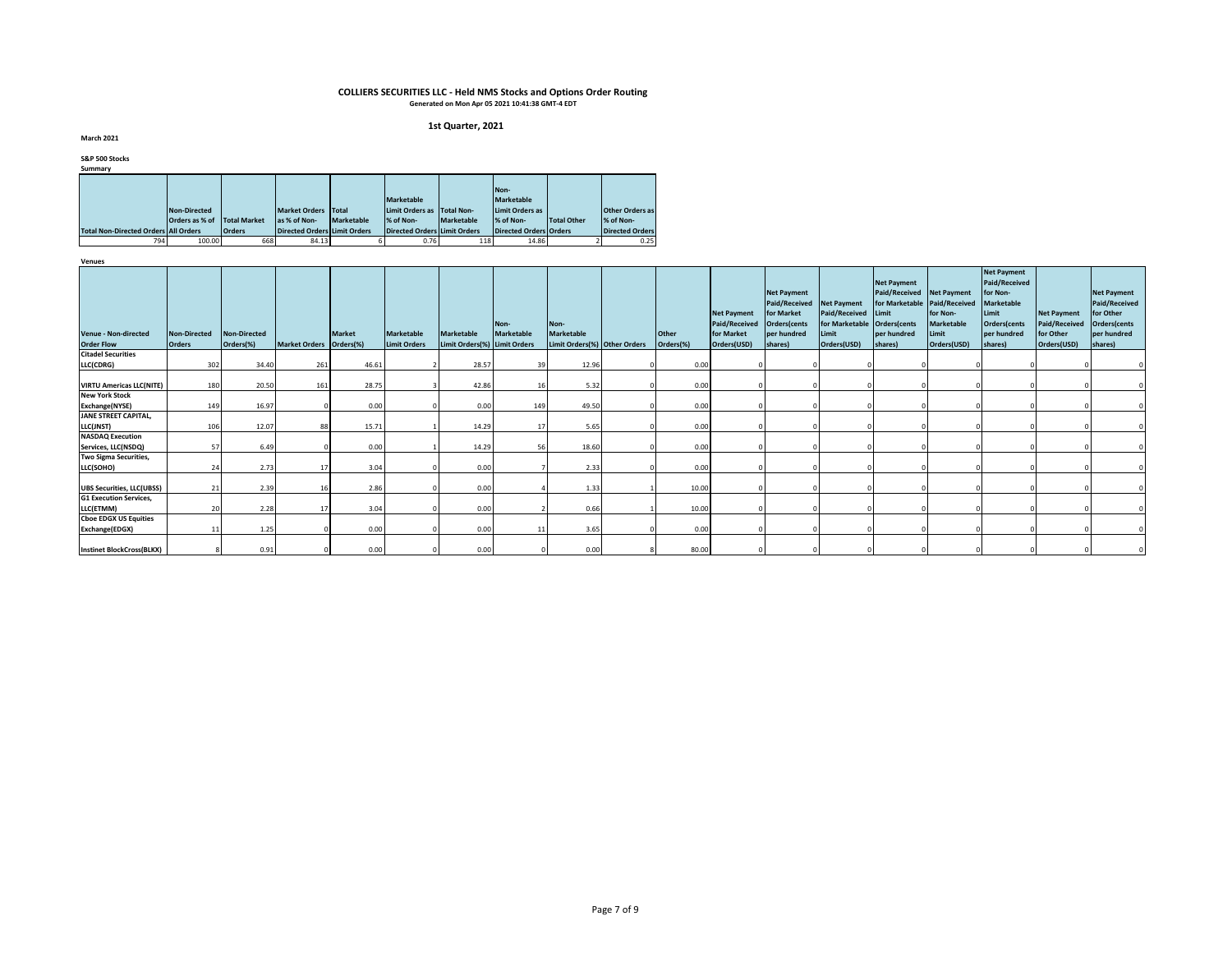#### **1st Quarter, 2021**

**March 2021**

**S&P 500 Stocks**

| Summarv                                     |                |                     |                              |                   |                                     |            |                        |             |                        |  |  |  |  |  |  |
|---------------------------------------------|----------------|---------------------|------------------------------|-------------------|-------------------------------------|------------|------------------------|-------------|------------------------|--|--|--|--|--|--|
|                                             |                |                     |                              |                   |                                     |            |                        |             |                        |  |  |  |  |  |  |
|                                             |                |                     |                              |                   |                                     |            | Non-                   |             |                        |  |  |  |  |  |  |
|                                             |                |                     |                              |                   | Marketable                          |            | <b>Marketable</b>      |             |                        |  |  |  |  |  |  |
|                                             | Non-Directed   |                     | <b>Market Orders</b>         | Total             | Limit Orders as                     | Total Non- | Limit Orders as        |             | <b>Other Orders as</b> |  |  |  |  |  |  |
|                                             | Orders as % of | <b>Total Market</b> | las % of Non-                | <b>Marketable</b> | % of Non-                           | Marketable | % of Non-              | Total Other | % of Non-              |  |  |  |  |  |  |
| <b>Total Non-Directed Orders All Orders</b> |                | <b>Orders</b>       | Directed Orders Limit Orders |                   | <b>Directed Orders Limit Orders</b> |            | Directed Orders Orders |             | <b>Directed Orders</b> |  |  |  |  |  |  |
| 794                                         | 100.00         | 668                 | 84.13                        |                   | 0.76                                | 118        | 14.86                  |             | 0.25                   |  |  |  |  |  |  |

| venues<br><b>Venue - Non-directed</b><br><b>Order Flow</b> | Non-Directed<br><b>Orders</b> | Non-Directed<br>Orders(%) | Market Orders Orders(%) | <b>Market</b> | <b>Marketable</b><br><b>Limit Orders</b> | <b>Marketable</b><br>Limit Orders(%) Limit Orders | Non-<br>Marketable | Non-<br><b>Marketable</b><br>Limit Orders(%) Other Orders | <b>Other</b><br>Orders(%) | <b>Net Payment</b><br>Paid/Received<br>for Market<br>Orders(USD) | <b>Net Payment</b><br>Paid/Received Net Payment<br>for Market<br>Orders(cents<br>per hundred<br>shares) | Paid/Received Limit<br>for Marketable Orders(cents<br>Limit<br>Orders(USD) | <b>Net Payment</b><br>Paid/Received Net Payment<br>per hundred<br>shares) | for Marketable Paid/Received<br>for Non-<br>Marketable<br>Limit<br>Orders(USD) | <b>Net Payment</b><br>Paid/Received<br>for Non-<br><b>Marketable</b><br>Limit<br>Orders(cents<br>per hundred<br>shares) | <b>Net Payment</b><br><b>Paid/Received</b><br>for Other<br>Orders(USD) | <b>Net Payment</b><br><b>Paid/Received</b><br>for Other<br>Orders(cents<br>per hundred<br>shares) |
|------------------------------------------------------------|-------------------------------|---------------------------|-------------------------|---------------|------------------------------------------|---------------------------------------------------|--------------------|-----------------------------------------------------------|---------------------------|------------------------------------------------------------------|---------------------------------------------------------------------------------------------------------|----------------------------------------------------------------------------|---------------------------------------------------------------------------|--------------------------------------------------------------------------------|-------------------------------------------------------------------------------------------------------------------------|------------------------------------------------------------------------|---------------------------------------------------------------------------------------------------|
| <b>Citadel Securities</b>                                  |                               |                           |                         |               |                                          |                                                   |                    |                                                           |                           |                                                                  |                                                                                                         |                                                                            |                                                                           |                                                                                |                                                                                                                         |                                                                        |                                                                                                   |
| LLC(CDRG)                                                  | 302                           | 34.40                     | 261                     | 46.61         |                                          | 28.57                                             | 39                 | 12.96                                                     | 0.00                      |                                                                  |                                                                                                         |                                                                            |                                                                           |                                                                                |                                                                                                                         |                                                                        |                                                                                                   |
| <b>VIRTU Americas LLC(NITE)</b>                            | 180                           | 20.50                     | 161                     | 28.75         |                                          | 42.86                                             | 16                 | 5.32                                                      | 0.00                      |                                                                  |                                                                                                         |                                                                            |                                                                           |                                                                                |                                                                                                                         |                                                                        |                                                                                                   |
| <b>New York Stock</b><br>Exchange(NYSE)                    | 149                           | 16.97                     |                         | 0.00          |                                          | 0.00                                              | 149                | 49.50                                                     | 0.00                      |                                                                  |                                                                                                         |                                                                            |                                                                           |                                                                                |                                                                                                                         |                                                                        |                                                                                                   |
| JANE STREET CAPITAL,<br>LLC(JNST)                          | 106                           | 12.07                     | 88                      | 15.71         |                                          | 14.29                                             | 17                 | 5.65                                                      | 0.00                      |                                                                  |                                                                                                         |                                                                            |                                                                           |                                                                                |                                                                                                                         |                                                                        |                                                                                                   |
| <b>NASDAQ Execution</b><br>Services, LLC(NSDQ)             | 57                            | 6.49                      |                         | 0.00          |                                          | 14.29                                             | 56                 | 18.60                                                     | 0.00                      |                                                                  |                                                                                                         |                                                                            |                                                                           |                                                                                |                                                                                                                         |                                                                        |                                                                                                   |
| Two Sigma Securities,<br>LLC(SOHO)                         | 24                            | 2.73                      |                         | 3.04          |                                          | 0.00                                              |                    | 2.33                                                      | 0.00                      |                                                                  |                                                                                                         |                                                                            |                                                                           |                                                                                |                                                                                                                         |                                                                        |                                                                                                   |
| <b>UBS Securities, LLC(UBSS)</b>                           | 21                            | 2.39                      |                         | 2.86          |                                          | 0.00                                              |                    | 1.33                                                      | 10.00                     |                                                                  |                                                                                                         |                                                                            |                                                                           |                                                                                |                                                                                                                         |                                                                        |                                                                                                   |
| <b>G1 Execution Services,</b><br>LLC(ETMM)                 | 20                            | 2.28                      |                         | 3.04          |                                          | 0.00                                              |                    | 0.66                                                      | 10.00                     |                                                                  |                                                                                                         |                                                                            |                                                                           |                                                                                |                                                                                                                         |                                                                        |                                                                                                   |
| <b>Choe EDGX US Equities</b><br>Exchange(EDGX)             | 11                            | 1.25                      |                         | 0.00          |                                          | 0.00                                              | 11                 | 3.65                                                      | 0.00                      |                                                                  |                                                                                                         |                                                                            |                                                                           |                                                                                |                                                                                                                         |                                                                        |                                                                                                   |
| <b>Instinet BlockCross(BLKX)</b>                           |                               | 0.91                      |                         | 0.00          |                                          | 0.00                                              |                    | 0.00                                                      | 80.00                     |                                                                  |                                                                                                         |                                                                            |                                                                           |                                                                                |                                                                                                                         |                                                                        |                                                                                                   |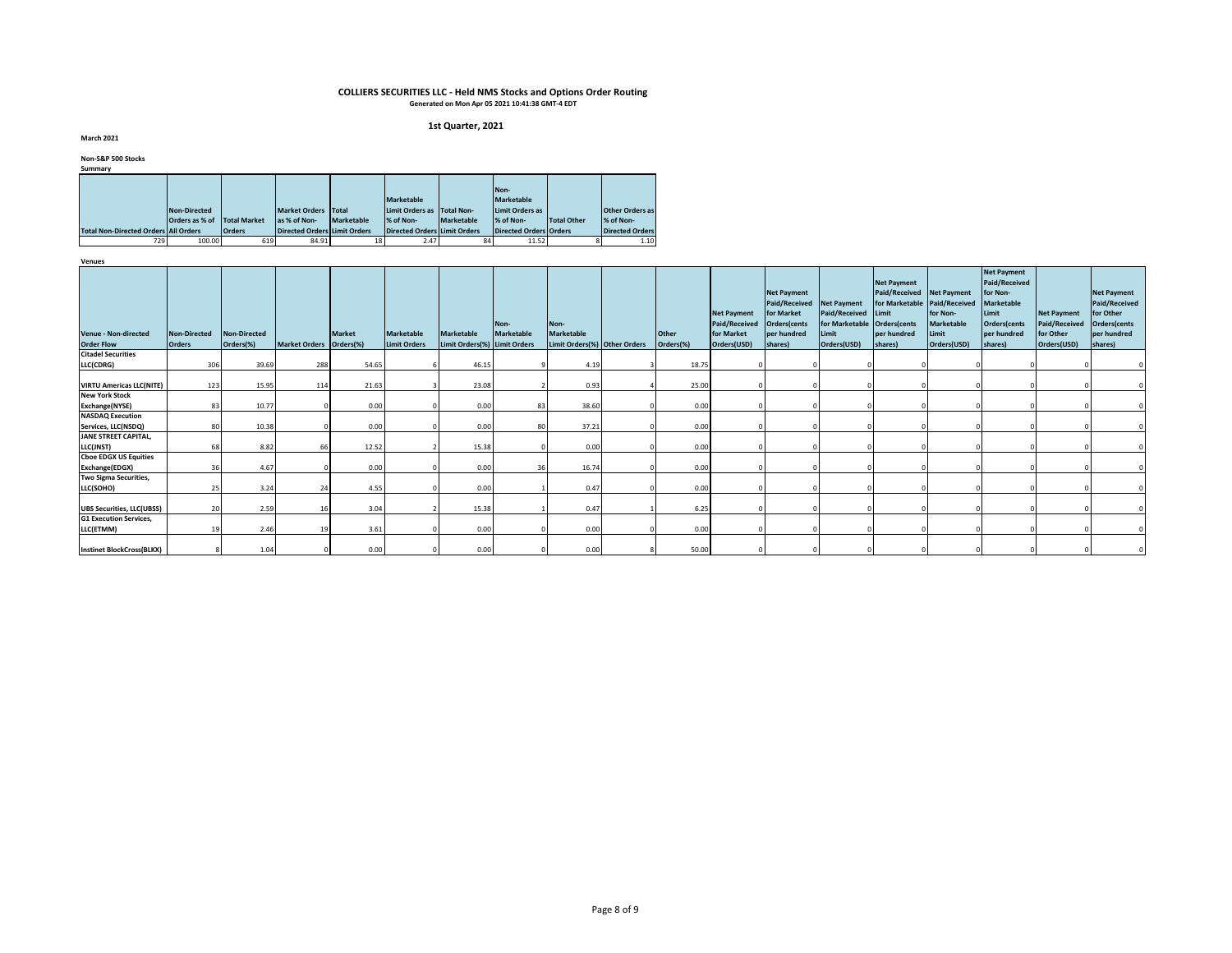#### **1st Quarter, 2021**

**March 2021**

### **Non-S&P 500 Stocks**

| Summary                                     |                |                     |                                     |                   |                                     |                   |                        |                    |                        |
|---------------------------------------------|----------------|---------------------|-------------------------------------|-------------------|-------------------------------------|-------------------|------------------------|--------------------|------------------------|
|                                             |                |                     |                                     |                   |                                     |                   |                        |                    |                        |
|                                             |                |                     |                                     |                   |                                     | Non-              |                        |                    |                        |
|                                             |                |                     |                                     |                   | <b>Marketable</b>                   | <b>Marketable</b> |                        |                    |                        |
|                                             | Non-Directed   |                     | <b>Market Orders</b>                | <b>Total</b>      | Limit Orders as                     | <b>Total Non-</b> | Limit Orders as        |                    | <b>Other Orders as</b> |
|                                             | Orders as % of | <b>Total Market</b> | las % of Non-                       | <b>Marketable</b> | % of Non-                           | Marketable        | % of Non-              | <b>Total Other</b> | % of Non-              |
| <b>Total Non-Directed Orders All Orders</b> |                | <b>Orders</b>       | <b>Directed Orders Limit Orders</b> |                   | <b>Directed Orders Limit Orders</b> |                   | Directed Orders Orders |                    | <b>Directed Orders</b> |
| 729                                         | 100.00         | 619                 | 84.91                               | 18                | 2.47                                | 84                | 11.52                  |                    | 1.10                   |

| Acura                                            |                               |                           |                         |               |                                          |                                                   |                    |                                                           |                           |                                                                         |                                                                                                         |                                                                            |                                                                                                           |                                                |                                                                                                                         |                                                                        |                                                                                                   |
|--------------------------------------------------|-------------------------------|---------------------------|-------------------------|---------------|------------------------------------------|---------------------------------------------------|--------------------|-----------------------------------------------------------|---------------------------|-------------------------------------------------------------------------|---------------------------------------------------------------------------------------------------------|----------------------------------------------------------------------------|-----------------------------------------------------------------------------------------------------------|------------------------------------------------|-------------------------------------------------------------------------------------------------------------------------|------------------------------------------------------------------------|---------------------------------------------------------------------------------------------------|
| <b>Venue - Non-directed</b><br><b>Order Flow</b> | Non-Directed<br><b>Orders</b> | Non-Directed<br>Orders(%) | Market Orders Orders(%) | <b>Market</b> | <b>Marketable</b><br><b>Limit Orders</b> | <b>Marketable</b><br>Limit Orders(%) Limit Orders | Non-<br>Marketable | Non-<br><b>Marketable</b><br>Limit Orders(%) Other Orders | <b>Other</b><br>Orders(%) | <b>Net Payment</b><br><b>Paid/Received</b><br>for Market<br>Orders(USD) | <b>Net Payment</b><br>Paid/Received Net Payment<br>for Market<br>Orders(cents<br>per hundred<br>shares) | Paid/Received Limit<br>for Marketable Orders(cents<br>Limit<br>Orders(USD) | <b>Net Payment</b><br>Paid/Received Net Payment<br>for Marketable Paid/Received<br>per hundred<br>shares) | for Non-<br>Marketable<br>Limit<br>Orders(USD) | <b>Net Payment</b><br>Paid/Received<br>for Non-<br><b>Marketable</b><br>Limit<br>Orders(cents<br>per hundred<br>shares) | <b>Net Payment</b><br><b>Paid/Received</b><br>for Other<br>Orders(USD) | <b>Net Payment</b><br><b>Paid/Received</b><br>for Other<br>Orders(cents<br>per hundred<br>shares) |
| <b>Citadel Securities</b>                        |                               |                           |                         |               |                                          |                                                   |                    |                                                           |                           |                                                                         |                                                                                                         |                                                                            |                                                                                                           |                                                |                                                                                                                         |                                                                        |                                                                                                   |
| LLC(CDRG)                                        | 306                           | 39.69                     | 288                     | 54.65         |                                          | 46.15                                             |                    | 4.19                                                      | 18.75                     |                                                                         |                                                                                                         |                                                                            |                                                                                                           |                                                |                                                                                                                         |                                                                        |                                                                                                   |
| <b>VIRTU Americas LLC(NITE)</b>                  | 123                           | 15.95                     | 114                     | 21.63         |                                          | 23.08                                             |                    | 0.93                                                      | 25.00                     |                                                                         |                                                                                                         |                                                                            |                                                                                                           |                                                |                                                                                                                         |                                                                        |                                                                                                   |
| <b>New York Stock</b><br>Exchange(NYSE)          | 83                            | 10.77                     |                         | 0.00          |                                          | 0.00                                              | 83                 | 38.60                                                     | 0.00                      |                                                                         |                                                                                                         |                                                                            |                                                                                                           |                                                |                                                                                                                         |                                                                        |                                                                                                   |
| <b>NASDAQ Execution</b>                          |                               |                           |                         |               |                                          |                                                   |                    |                                                           |                           |                                                                         |                                                                                                         |                                                                            |                                                                                                           |                                                |                                                                                                                         |                                                                        |                                                                                                   |
| Services, LLC(NSDQ)<br>JANE STREET CAPITAL,      | 80                            | 10.38                     |                         | 0.00          |                                          | 0.00                                              | 80                 | 37.21                                                     | 0.00                      |                                                                         |                                                                                                         |                                                                            |                                                                                                           |                                                |                                                                                                                         |                                                                        |                                                                                                   |
| LLC(JNST)                                        | 68                            | 8.82                      |                         | 12.52         |                                          | 15.38                                             |                    | 0.00                                                      | 0.00                      |                                                                         |                                                                                                         |                                                                            |                                                                                                           |                                                |                                                                                                                         |                                                                        |                                                                                                   |
| <b>Choe EDGX US Equities</b><br>Exchange(EDGX)   | 36                            | 4.67                      |                         | 0.00          |                                          | 0.00                                              | 36                 | 16.74                                                     | 0.00                      |                                                                         |                                                                                                         |                                                                            |                                                                                                           |                                                |                                                                                                                         |                                                                        |                                                                                                   |
| Two Sigma Securities,                            |                               |                           |                         |               |                                          |                                                   |                    |                                                           |                           |                                                                         |                                                                                                         |                                                                            |                                                                                                           |                                                |                                                                                                                         |                                                                        |                                                                                                   |
| LLC(SOHO)                                        | 25                            | 3.24                      |                         | 4.55          |                                          | 0.00                                              |                    | 0.47                                                      | 0.00                      |                                                                         |                                                                                                         |                                                                            |                                                                                                           |                                                |                                                                                                                         |                                                                        |                                                                                                   |
| <b>UBS Securities, LLC(UBSS)</b>                 | 20                            | 2.59                      |                         | 3.04          |                                          | 15.38                                             |                    | 0.47                                                      | 6.25                      |                                                                         |                                                                                                         |                                                                            |                                                                                                           |                                                |                                                                                                                         |                                                                        |                                                                                                   |
| <b>G1 Execution Services,</b><br>LLC(ETMM)       | 19                            | 2.46                      |                         | 3.61          |                                          | 0.00                                              |                    | 0.00                                                      | 0.00                      |                                                                         |                                                                                                         |                                                                            |                                                                                                           |                                                |                                                                                                                         |                                                                        |                                                                                                   |
| <b>Instinet BlockCross(BLKX)</b>                 |                               | 1.04                      |                         | 0.00          |                                          | 0.00                                              |                    | 0.00                                                      | 50.00                     |                                                                         |                                                                                                         |                                                                            |                                                                                                           |                                                |                                                                                                                         |                                                                        |                                                                                                   |